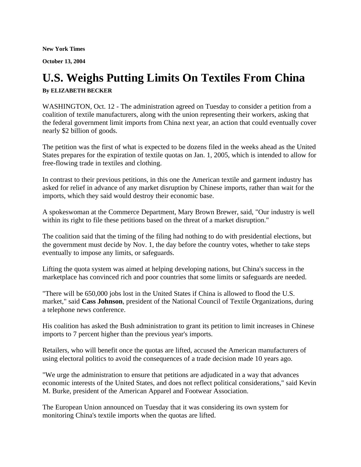**New York Times**

**October 13, 2004**

## **U.S. Weighs Putting Limits On Textiles From China**

**By ELIZABETH BECKER**

WASHINGTON, Oct. 12 - The administration agreed on Tuesday to consider a petition from a coalition of textile manufacturers, along with the union representing their workers, asking that the federal government limit imports from China next year, an action that could eventually cover nearly \$2 billion of goods.

The petition was the first of what is expected to be dozens filed in the weeks ahead as the United States prepares for the expiration of textile quotas on Jan. 1, 2005, which is intended to allow for free-flowing trade in textiles and clothing.

In contrast to their previous petitions, in this one the American textile and garment industry has asked for relief in advance of any market disruption by Chinese imports, rather than wait for the imports, which they said would destroy their economic base.

A spokeswoman at the Commerce Department, Mary Brown Brewer, said, "Our industry is well within its right to file these petitions based on the threat of a market disruption."

The coalition said that the timing of the filing had nothing to do with presidential elections, but the government must decide by Nov. 1, the day before the country votes, whether to take steps eventually to impose any limits, or safeguards.

Lifting the quota system was aimed at helping developing nations, but China's success in the marketplace has convinced rich and poor countries that some limits or safeguards are needed.

"There will be 650,000 jobs lost in the United States if China is allowed to flood the U.S. market," said **Cass Johnson**, president of the National Council of Textile Organizations, during a telephone news conference.

His coalition has asked the Bush administration to grant its petition to limit increases in Chinese imports to 7 percent higher than the previous year's imports.

Retailers, who will benefit once the quotas are lifted, accused the American manufacturers of using electoral politics to avoid the consequences of a trade decision made 10 years ago.

"We urge the administration to ensure that petitions are adjudicated in a way that advances economic interests of the United States, and does not reflect political considerations," said Kevin M. Burke, president of the American Apparel and Footwear Association.

The European Union announced on Tuesday that it was considering its own system for monitoring China's textile imports when the quotas are lifted.